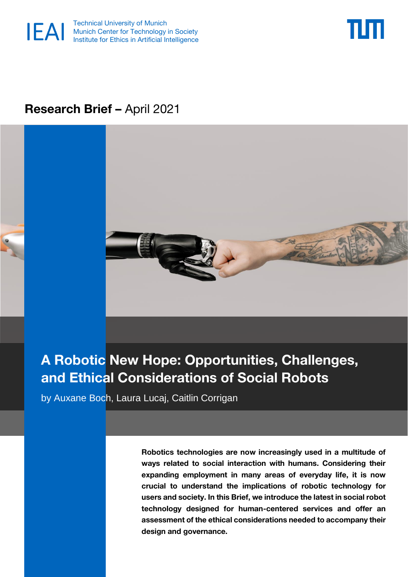



## **Research Brief –** April 2021



# **A Robotic New Hope: Opportunities, Challenges, and Ethical Considerations of Social Robots**

by Auxane Boch, Laura Lucaj, Caitlin Corrigan

**Robotics technologies are now increasingly used in a multitude of ways related to social interaction with humans. Considering their expanding employment in many areas of everyday life, it is now crucial to understand the implications of robotic technology for users and society. In this Brief, we introduce the latest in social robot technology designed for human-centered services and offer an assessment of the ethical considerations needed to accompany their design and governance.**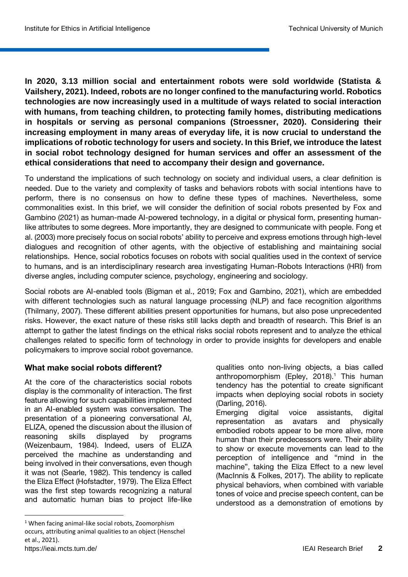**In 2020, 3.13 million social and entertainment robots were sold worldwide (Statista & Vailshery, 2021). Indeed, robots are no longer confined to the manufacturing world. Robotics technologies are now increasingly used in a multitude of ways related to social interaction with humans, from teaching children, to protecting family homes, distributing medications in hospitals or serving as personal companions (Stroessner, 2020). Considering their increasing employment in many areas of everyday life, it is now crucial to understand the implications of robotic technology for users and society. In this Brief, we introduce the latest in social robot technology designed for human services and offer an assessment of the ethical considerations that need to accompany their design and governance.**

To understand the implications of such technology on society and individual users, a clear definition is needed. Due to the variety and complexity of tasks and behaviors robots with social intentions have to perform, there is no consensus on how to define these types of machines. Nevertheless, some commonalities exist. In this brief, we will consider the definition of social robots presented by Fox and Gambino (2021) as human-made AI-powered technology, in a digital or physical form, presenting humanlike attributes to some degrees. More importantly, they are designed to communicate with people. Fong et al. (2003) more precisely focus on social robots' ability to perceive and express emotions through high-level dialogues and recognition of other agents, with the objective of establishing and maintaining social relationships. Hence, social robotics focuses on robots with social qualities used in the context of service to humans, and is an interdisciplinary research area investigating Human-Robots Interactions (HRI) from diverse angles, including computer science, psychology, engineering and sociology.

Social robots are AI-enabled tools (Bigman et al., 2019; Fox and Gambino, 2021), which are embedded with different technologies such as natural language processing (NLP) and face recognition algorithms (Thilmany, 2007). These different abilities present opportunities for humans, but also pose unprecedented risks. However, the exact nature of these risks still lacks depth and breadth of research. This Brief is an attempt to gather the latest findings on the ethical risks social robots represent and to analyze the ethical challenges related to specific form of technology in order to provide insights for developers and enable policymakers to improve social robot governance.

#### **What make social robots different?**

At the core of the characteristics social robots display is the commonality of interaction. The first feature allowing for such capabilities implemented in an AI-enabled system was conversation. The presentation of a pioneering conversational AI, ELIZA, opened the discussion about the illusion of reasoning skills displayed by programs (Weizenbaum, 1984). Indeed, users of ELIZA perceived the machine as understanding and being involved in their conversations, even though it was not (Searle, 1982). This tendency is called the Eliza Effect (Hofstadter, 1979). The Eliza Effect was the first step towards recognizing a natural and automatic human bias to project life-like

**.** 

qualities onto non-living objects, a bias called anthropomorphism (Epley,  $2018$ ).<sup>1</sup> This human tendency has the potential to create significant impacts when deploying social robots in society (Darling, 2016).

Emerging digital voice assistants, digital representation as avatars and physically embodied robots appear to be more alive, more human than their predecessors were. Their ability to show or execute movements can lead to the perception of intelligence and "mind in the machine", taking the Eliza Effect to a new level (MacInnis & Folkes, 2017). The ability to replicate physical behaviors, when combined with variable tones of voice and precise speech content, can be understood as a demonstration of emotions by

<https://ieai.mcts.tum.de/>IEAI Research Brief **2** <sup>1</sup> When facing animal-like social robots, Zoomorphism occurs, attributing animal qualities to an object (Henschel et al., 2021).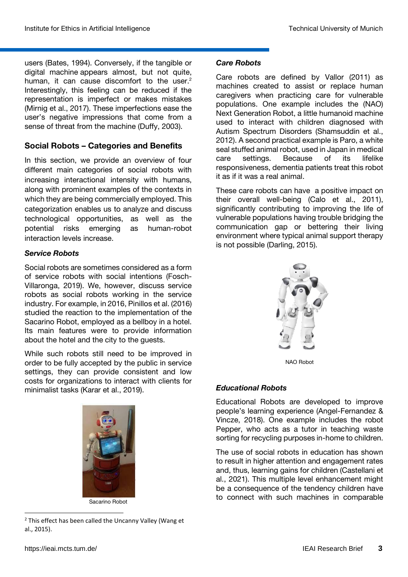users (Bates, 1994). Conversely, if the tangible or digital machine appears almost, but not quite, human, it can cause discomfort to the user.<sup>2</sup> Interestingly, this feeling can be reduced if the representation is imperfect or makes mistakes (Mirnig et al., 2017). These imperfections ease the user's negative impressions that come from a sense of threat from the machine (Duffy, 2003).

## **Social Robots – Categories and Benefits**

In this section, we provide an overview of four different main categories of social robots with increasing interactional intensity with humans, along with prominent examples of the contexts in which they are being commercially employed. This categorization enables us to analyze and discuss technological opportunities, as well as the potential risks emerging as human-robot interaction levels increase.

## *Service Robots*

Social robots are sometimes considered as a form of service robots with social intentions (Fosch-Villaronga, 2019). We, however, discuss service robots as social robots working in the service industry. For example, in 2016, Pinillos et al. (2016) studied the reaction to the implementation of the Sacarino Robot, employed as a bellboy in a hotel. Its main features were to provide information about the hotel and the city to the guests.

While such robots still need to be improved in order to be fully accepted by the public in service settings, they can provide consistent and low costs for organizations to interact with clients for minimalist tasks (Karar et al., 2019).



Sacarino Robot

 $\overline{a}$ <sup>2</sup> This effect has been called the Uncanny Valley (Wang et al., 2015).

## *Care Robots*

Care robots are defined by Vallor (2011) as machines created to assist or replace human caregivers when practicing care for vulnerable populations. One example includes the (NAO) Next Generation Robot, a little humanoid machine used to interact with children diagnosed with Autism Spectrum Disorders (Shamsuddin et al., 2012). A second practical example is Paro, a white seal stuffed animal robot, used in Japan in medical<br>care settings. Because of its lifelike care settings. Because of its lifelike responsiveness, dementia patients treat this robot it as if it was a real animal.

These care robots can have a positive impact on their overall well-being (Calo et al., 2011), significantly contributing to improving the life of vulnerable populations having trouble bridging the communication gap or bettering their living environment where typical animal support therapy is not possible (Darling, 2015).



NAO Robot

#### *Educational Robots*

Educational Robots are developed to improve people's learning experience (Angel-Fernandez & Vincze, 2018). One example includes the robot Pepper, who acts as a tutor in teaching waste sorting for recycling purposes in-home to children.

The use of social robots in education has shown to result in higher attention and engagement rates and, thus, learning gains for children (Castellani et al., 2021). This multiple level enhancement might be a consequence of the tendency children have to connect with such machines in comparable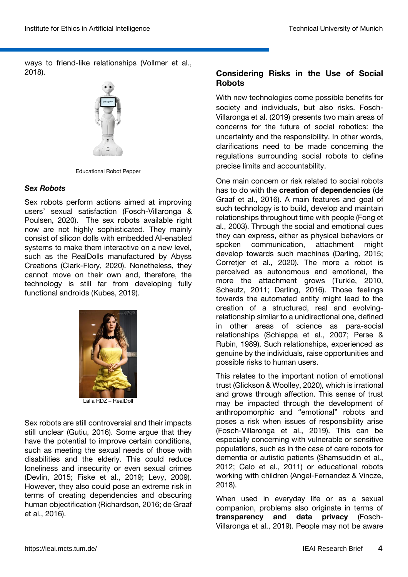ways to friend-like relationships (Vollmer et al., 2018).



Educational Robot Pepper

#### *Sex Robots*

Sex robots perform actions aimed at improving users' sexual satisfaction (Fosch-Villaronga & Poulsen, 2020). The sex robots available right now are not highly sophisticated. They mainly consist of silicon dolls with embedded AI-enabled systems to make them interactive on a new level, such as the RealDolls manufactured by Abyss Creations (Clark-Flory, 2020). Nonetheless, they cannot move on their own and, therefore, the technology is still far from developing fully functional androids (Kubes, 2019).



Lalia RDZ – RealDoll

Sex robots are still controversial and their impacts still unclear (Gutiu, 2016). Some argue that they have the potential to improve certain conditions, such as meeting the sexual needs of those with disabilities and the elderly. This could reduce loneliness and insecurity or even sexual crimes (Devlin, 2015; Fiske et al., 2019; Levy, 2009). However, they also could pose an extreme risk in terms of creating dependencies and obscuring human objectification (Richardson, 2016; de Graaf et al., 2016).

## **Considering Risks in the Use of Social Robots**

With new technologies come possible benefits for society and individuals, but also risks. Fosch-Villaronga et al. (2019) presents two main areas of concerns for the future of social robotics: the uncertainty and the responsibility. In other words, clarifications need to be made concerning the regulations surrounding social robots to define precise limits and accountability.

One main concern or risk related to social robots has to do with the **creation of dependencies** (de Graaf et al., 2016). A main features and goal of such technology is to build, develop and maintain relationships throughout time with people (Fong et al., 2003). Through the social and emotional cues they can express, either as physical behaviors or spoken communication, attachment might develop towards such machines (Darling, 2015; Corretjer et al., 2020). The more a robot is perceived as autonomous and emotional, the more the attachment grows (Turkle, 2010, Scheutz, 2011; Darling, 2016). Those feelings towards the automated entity might lead to the creation of a structured, real and evolvingrelationship similar to a unidirectional one, defined in other areas of science as para-social relationships (Schiappa et al., 2007; Perse & Rubin, 1989). Such relationships, experienced as genuine by the individuals, raise opportunities and possible risks to human users.

This relates to the important notion of emotional trust (Glickson & Woolley, 2020), which is irrational and grows through affection. This sense of trust may be impacted through the development of anthropomorphic and "emotional" robots and poses a risk when issues of responsibility arise (Fosch-Villaronga et al., 2019). This can be especially concerning with vulnerable or sensitive populations, such as in the case of care robots for dementia or autistic patients (Shamsuddin et al., 2012; Calo et al., 2011) or educational robots working with children (Angel-Fernandez & Vincze, 2018).

When used in everyday life or as a sexual companion, problems also originate in terms of **transparency and data privacy** (Fosch-Villaronga et al., 2019). People may not be aware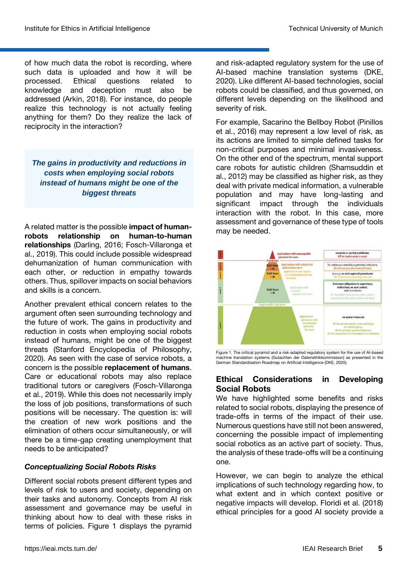of how much data the robot is recording, where such data is uploaded and how it will be processed. Ethical questions related to knowledge and deception must also be addressed (Arkin, 2018). For instance, do people realize this technology is not actually feeling anything for them? Do they realize the lack of reciprocity in the interaction?

*The gains in productivity and reductions in costs when employing social robots instead of humans might be one of the biggest threats*

A related matter is the possible **impact of humanrobots relationship on human-to-human relationships** (Darling, 2016; Fosch-Villaronga et al., 2019). This could include possible widespread dehumanization of human communication with each other, or reduction in empathy towards others. Thus, spillover impacts on social behaviors and skills is a concern.

Another prevalent ethical concern relates to the argument often seen surrounding technology and the future of work. The gains in productivity and reduction in costs when employing social robots instead of humans, might be one of the biggest threats (Stanford Encyclopedia of Philosophy, 2020). As seen with the case of service robots, a concern is the possible **replacement of humans**. Care or educational robots may also replace traditional tutors or caregivers (Fosch-Villaronga et al., 2019). While this does not necessarily imply the loss of job positions, transformations of such positions will be necessary. The question is: will the creation of new work positions and the elimination of others occur simultaneously, or will there be a time-gap creating unemployment that needs to be anticipated?

#### *Conceptualizing Social Robots Risks*

Different social robots present different types and levels of risk to users and society, depending on their tasks and autonomy. Concepts from AI risk assessment and governance may be useful in thinking about how to deal with these risks in terms of policies. Figure 1 displays the pyramid

and risk-adapted regulatory system for the use of AI-based machine translation systems (DKE, 2020). Like different AI-based technologies, social robots could be classified, and thus governed, on different levels depending on the likelihood and severity of risk.

For example, Sacarino the Bellboy Robot (Pinillos et al., 2016) may represent a low level of risk, as its actions are limited to simple defined tasks for non-critical purposes and minimal invasiveness. On the other end of the spectrum, mental support care robots for autistic children (Shamsuddin et al., 2012) may be classified as higher risk, as they deal with private medical information, a vulnerable population and may have long-lasting and significant impact through the individuals interaction with the robot. In this case, more assessment and governance of these type of tools may be needed.



Figure 1. The critical pyramid and a risk-adapted regulatory system for the use of AI-based machine translation systems (Gutachten der Datenethikkommission) as presented in the German Standardisation Roadmap on Artificial Intelligence (DKE, 2020).

#### **Ethical Considerations in Developing Social Robots**

We have highlighted some benefits and risks related to social robots, displaying the presence of trade-offs in terms of the impact of their use. Numerous questions have still not been answered, concerning the possible impact of implementing social robotics as an active part of society. Thus, the analysis of these trade-offs will be a continuing one.

However, we can begin to analyze the ethical implications of such technology regarding how, to what extent and in which context positive or negative impacts will develop. Floridi et al. (2018) ethical principles for a good AI society provide a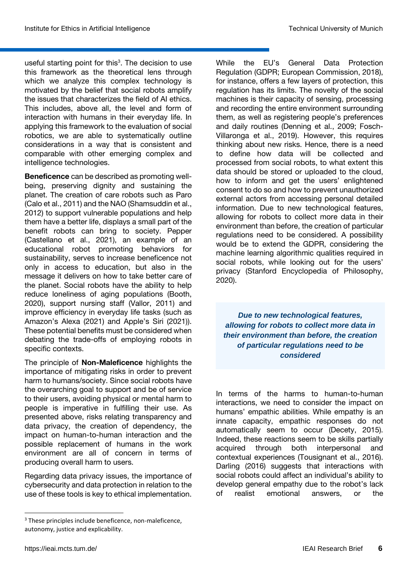useful starting point for this<sup>3</sup>. The decision to use this framework as the theoretical lens through which we analyze this complex technology is motivated by the belief that social robots amplify the issues that characterizes the field of AI ethics. This includes, above all, the level and form of interaction with humans in their everyday life. In applying this framework to the evaluation of social robotics, we are able to systematically outline considerations in a way that is consistent and comparable with other emerging complex and intelligence technologies.

**Beneficence** can be described as promoting wellbeing, preserving dignity and sustaining the planet. The creation of care robots such as Paro (Calo et al., 2011) and the NAO (Shamsuddin et al., 2012) to support vulnerable populations and help them have a better life, displays a small part of the benefit robots can bring to society. Pepper (Castellano et al., 2021), an example of an educational robot promoting behaviors for sustainability, serves to increase beneficence not only in access to education, but also in the message it delivers on how to take better care of the planet. Social robots have the ability to help reduce loneliness of aging populations (Booth, 2020), support nursing staff (Vallor, 2011) and improve efficiency in everyday life tasks (such as Amazon's Alexa (2021) and Apple's Siri (2021)). These potential benefits must be considered when debating the trade-offs of employing robots in specific contexts.

The principle of **Non-Maleficence** highlights the importance of mitigating risks in order to prevent harm to humans/society. Since social robots have the overarching goal to support and be of service to their users, avoiding physical or mental harm to people is imperative in fulfilling their use. As presented above, risks relating transparency and data privacy, the creation of dependency, the impact on human-to-human interaction and the possible replacement of humans in the work environment are all of concern in terms of producing overall harm to users.

Regarding data privacy issues, the importance of cybersecurity and data protection in relation to the use of these tools is key to ethical implementation.

While the EU's General Data Protection Regulation (GDPR; European Commission, 2018), for instance, offers a few layers of protection, this regulation has its limits. The novelty of the social machines is their capacity of sensing, processing and recording the entire environment surrounding them, as well as registering people's preferences and daily routines (Denning et al., 2009; Fosch-Villaronga et al., 2019). However, this requires thinking about new risks. Hence, there is a need to define how data will be collected and processed from social robots, to what extent this data should be stored or uploaded to the cloud, how to inform and get the users' enlightened consent to do so and how to prevent unauthorized external actors from accessing personal detailed information. Due to new technological features, allowing for robots to collect more data in their environment than before, the creation of particular regulations need to be considered. A possibility would be to extend the GDPR, considering the machine learning algorithmic qualities required in social robots, while looking out for the users' privacy (Stanford Encyclopedia of Philosophy, 2020).

*Due to new technological features, allowing for robots to collect more data in their environment than before, the creation of particular regulations need to be considered*

In terms of the harms to human-to-human interactions, we need to consider the impact on humans' empathic abilities. While empathy is an innate capacity, empathic responses do not automatically seem to occur (Decety, 2015). Indeed, these reactions seem to be skills partially acquired through both interpersonal and contextual experiences (Tousignant et al., 2016). Darling (2016) suggests that interactions with social robots could affect an individual's ability to develop general empathy due to the robot's lack of realist emotional answers, or the

 $\overline{a}$ 

<sup>&</sup>lt;sup>3</sup> These principles include beneficence, non-maleficence, autonomy, justice and explicability.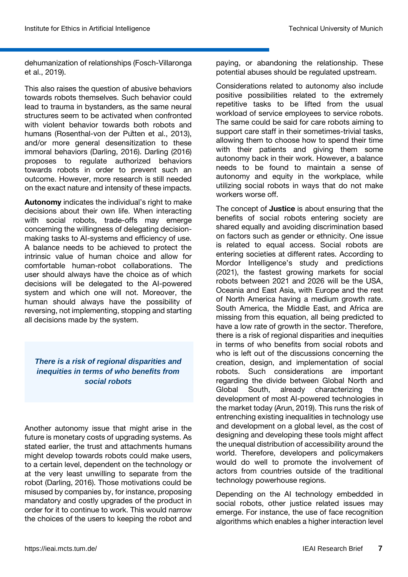dehumanization of relationships (Fosch-Villaronga et al., 2019).

This also raises the question of abusive behaviors towards robots themselves. Such behavior could lead to trauma in bystanders, as the same neural structures seem to be activated when confronted with violent behavior towards both robots and humans (Rosenthal-von der Pütten et al., 2013), and/or more general desensitization to these immoral behaviors (Darling, 2016). Darling (2016) proposes to regulate authorized behaviors towards robots in order to prevent such an outcome. However, more research is still needed on the exact nature and intensity of these impacts.

**Autonomy** indicates the individual's right to make decisions about their own life. When interacting with social robots, trade-offs may emerge concerning the willingness of delegating decisionmaking tasks to AI-systems and efficiency of use. A balance needs to be achieved to protect the intrinsic value of human choice and allow for comfortable human-robot collaborations. The user should always have the choice as of which decisions will be delegated to the AI-powered system and which one will not. Moreover, the human should always have the possibility of reversing, not implementing, stopping and starting all decisions made by the system.

## *There is a risk of regional disparities and inequities in terms of who benefits from social robots*

Another autonomy issue that might arise in the future is monetary costs of upgrading systems. As stated earlier, the trust and attachments humans might develop towards robots could make users, to a certain level, dependent on the technology or at the very least unwilling to separate from the robot (Darling, 2016). Those motivations could be misused by companies by, for instance, proposing mandatory and costly upgrades of the product in order for it to continue to work. This would narrow the choices of the users to keeping the robot and paying, or abandoning the relationship. These potential abuses should be regulated upstream.

Considerations related to autonomy also include positive possibilities related to the extremely repetitive tasks to be lifted from the usual workload of service employees to service robots. The same could be said for care robots aiming to support care staff in their sometimes-trivial tasks, allowing them to choose how to spend their time with their patients and giving them some autonomy back in their work. However, a balance needs to be found to maintain a sense of autonomy and equity in the workplace, while utilizing social robots in ways that do not make workers worse off.

The concept of **Justice** is about ensuring that the benefits of social robots entering society are shared equally and avoiding discrimination based on factors such as gender or ethnicity. One issue is related to equal access. Social robots are entering societies at different rates. According to Mordor Intelligence's study and predictions (2021), the fastest growing markets for social robots between 2021 and 2026 will be the USA, Oceania and East Asia, with Europe and the rest of North America having a medium growth rate. South America, the Middle East, and Africa are missing from this equation, all being predicted to have a low rate of growth in the sector. Therefore, there is a risk of regional disparities and inequities in terms of who benefits from social robots and who is left out of the discussions concerning the creation, design, and implementation of social robots. Such considerations are important regarding the divide between Global North and Global South, already characterizing the development of most AI-powered technologies in the market today (Arun, 2019). This runs the risk of entrenching existing inequalities in technology use and development on a global level, as the cost of designing and developing these tools might affect the unequal distribution of accessibility around the world. Therefore, developers and policymakers would do well to promote the involvement of actors from countries outside of the traditional technology powerhouse regions.

Depending on the AI technology embedded in social robots, other justice related issues may emerge. For instance, the use of face recognition algorithms which enables a higher interaction level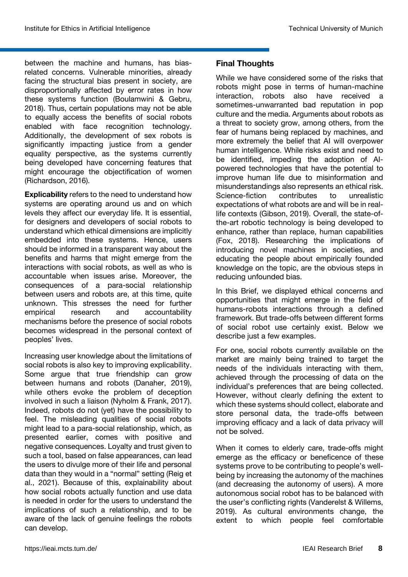between the machine and humans, has biasrelated concerns. Vulnerable minorities, already facing the structural bias present in society, are disproportionally affected by error rates in how these systems function (Boulamwini & Gebru, 2018). Thus, certain populations may not be able to equally access the benefits of social robots enabled with face recognition technology. Additionally, the development of sex robots is significantly impacting justice from a gender equality perspective, as the systems currently being developed have concerning features that might encourage the objectification of women (Richardson, 2016).

**Explicability** refers to the need to understand how systems are operating around us and on which levels they affect our everyday life. It is essential, for designers and developers of social robots to understand which ethical dimensions are implicitly embedded into these systems. Hence, users should be informed in a transparent way about the benefits and harms that might emerge from the interactions with social robots, as well as who is accountable when issues arise. Moreover, the consequences of a para-social relationship between users and robots are, at this time, quite unknown. This stresses the need for further empirical research and accountability mechanisms before the presence of social robots becomes widespread in the personal context of peoples' lives.

Increasing user knowledge about the limitations of social robots is also key to improving explicability. Some argue that true friendship can grow between humans and robots (Danaher, 2019), while others evoke the problem of deception involved in such a liaison (Nyholm & Frank, 2017). Indeed, robots do not (yet) have the possibility to feel. The misleading qualities of social robots might lead to a para-social relationship, which, as presented earlier, comes with positive and negative consequences. Loyalty and trust given to such a tool, based on false appearances, can lead the users to divulge more of their life and personal data than they would in a "normal" setting (Reig et al., 2021). Because of this, explainability about how social robots actually function and use data is needed in order for the users to understand the implications of such a relationship, and to be aware of the lack of genuine feelings the robots can develop.

#### **Final Thoughts**

While we have considered some of the risks that robots might pose in terms of human-machine interaction, robots also have received a sometimes-unwarranted bad reputation in pop culture and the media. Arguments about robots as a threat to society grow, among others, from the fear of humans being replaced by machines, and more extremely the belief that AI will overpower human intelligence. While risks exist and need to be identified, impeding the adoption of AIpowered technologies that have the potential to improve human life due to misinformation and misunderstandings also represents an ethical risk. Science-fiction contributes to unrealistic expectations of what robots are and will be in reallife contexts (Gibson, 2019). Overall, the state-ofthe-art robotic technology is being developed to enhance, rather than replace, human capabilities (Fox, 2018). Researching the implications of introducing novel machines in societies, and educating the people about empirically founded knowledge on the topic, are the obvious steps in reducing unfounded bias.

In this Brief, we displayed ethical concerns and opportunities that might emerge in the field of humans-robots interactions through a defined framework. But trade-offs between different forms of social robot use certainly exist. Below we describe just a few examples.

For one, social robots currently available on the market are mainly being trained to target the needs of the individuals interacting with them, achieved through the processing of data on the individual's preferences that are being collected. However, without clearly defining the extent to which these systems should collect, elaborate and store personal data, the trade-offs between improving efficacy and a lack of data privacy will not be solved.

When it comes to elderly care, trade-offs might emerge as the efficacy or beneficence of these systems prove to be contributing to people's wellbeing by increasing the autonomy of the machines (and decreasing the autonomy of users). A more autonomous social robot has to be balanced with the user's conflicting rights (Vanderelst & Willems, 2019). As cultural environments change, the extent to which people feel comfortable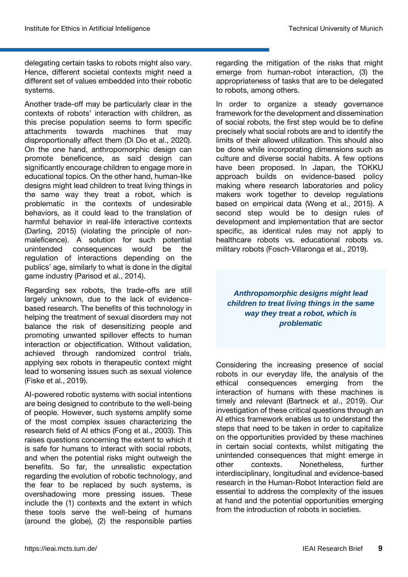delegating certain tasks to robots might also vary. Hence, different societal contexts might need a different set of values embedded into their robotic systems.

Another trade-off may be particularly clear in the contexts of robots' interaction with children, as this precise population seems to form specific attachments towards machines that may disproportionally affect them (Di Dio et al., 2020). On the one hand, anthropomorphic design can promote beneficence, as said design can significantly encourage children to engage more in educational topics. On the other hand, human-like designs might lead children to treat living things in the same way they treat a robot, which is problematic in the contexts of undesirable behaviors, as it could lead to the translation of harmful behavior in real-life interactive contexts (Darling, 2015) (violating the principle of nonmaleficence). A solution for such potential unintended consequences would be the regulation of interactions depending on the publics' age, similarly to what is done in the digital game industry (Parisod et al., 2014).

Regarding sex robots, the trade-offs are still largely unknown, due to the lack of evidencebased research. The benefits of this technology in helping the treatment of sexual disorders may not balance the risk of desensitizing people and promoting unwanted spillover effects to human interaction or objectification. Without validation, achieved through randomized control trials, applying sex robots in therapeutic context might lead to worsening issues such as sexual violence (Fiske et al., 2019).

AI-powered robotic systems with social intentions are being designed to contribute to the well-being of people. However, such systems amplify some of the most complex issues characterizing the research field of AI ethics (Fong et al., 2003). This raises questions concerning the extent to which it is safe for humans to interact with social robots, and when the potential risks might outweigh the benefits. So far, the unrealistic expectation regarding the evolution of robotic technology, and the fear to be replaced by such systems, is overshadowing more pressing issues. These include the (1) contexts and the extent in which these tools serve the well-being of humans (around the globe), (2) the responsible parties

regarding the mitigation of the risks that might emerge from human-robot interaction, (3) the appropriateness of tasks that are to be delegated to robots, among others.

In order to organize a steady governance framework for the development and dissemination of social robots, the first step would be to define precisely what social robots are and to identify the limits of their allowed utilization. This should also be done while incorporating dimensions such as culture and diverse social habits. A few options have been proposed. In Japan, the TOKKU approach builds on evidence-based policy making where research laboratories and policy makers work together to develop regulations based on empirical data (Weng et al., 2015). A second step would be to design rules of development and implementation that are sector specific, as identical rules may not apply to healthcare robots vs. educational robots vs. military robots (Fosch-Villaronga et al., 2019).

*Anthropomorphic designs might lead children to treat living things in the same way they treat a robot, which is problematic* 

Considering the increasing presence of social robots in our everyday life, the analysis of the ethical consequences emerging from the interaction of humans with these machines is timely and relevant (Bartneck et al., 2019). Our investigation of these critical questions through an AI ethics framework enables us to understand the steps that need to be taken in order to capitalize on the opportunities provided by these machines in certain social contexts, whilst mitigating the unintended consequences that might emerge in other contexts. Nonetheless, further interdisciplinary, longitudinal and evidence-based research in the Human-Robot Interaction field are essential to address the complexity of the issues at hand and the potential opportunities emerging from the introduction of robots in societies.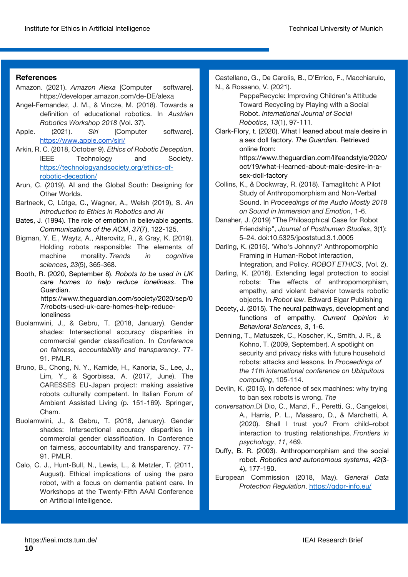#### **References**

- Amazon. (2021). *Amazon Alexa* [Computer software]. https://developer.amazon.com/de-DE/alexa
- Angel-Fernandez, J. M., & Vincze, M. (2018). Towards a definition of educational robotics. In *Austrian Robotics Workshop 2018* (Vol. 37).
- Apple. (2021). *Siri* [Computer software]. <https://www.apple.com/siri/>
- Arkin, R. C. (2018, October 9). *Ethics of Robotic Deception*. IEEE Technology and Society. [https://technologyandsociety.org/ethics-of](https://technologyandsociety.org/ethics-of-robotic-deception/)[robotic-deception/](https://technologyandsociety.org/ethics-of-robotic-deception/)
- Arun, C. (2019). AI and the Global South: Designing for Other Worlds.
- Bartneck, C, Lütge, C., Wagner, A., Welsh (2019), S. *An Introduction to Ethics in Robotics and AI*
- Bates, J. (1994). The role of emotion in believable agents. *Communications of the ACM*, *37*(7), 122-125.
- Bigman, Y. E., Waytz, A., Alterovitz, R., & Gray, K. (2019). Holding robots responsible: The elements of machine morality. *Trends in cognitive sciences*, *23*(5), 365-368.
- Booth, R. (2020, September 8). *Robots to be used in UK care homes to help reduce loneliness*. The Guardian. https://www.theguardian.com/society/2020/sep/0 7/robots-used-uk-care-homes-help-reduceloneliness
- Buolamwini, J., & Gebru, T. (2018, January). Gender shades: Intersectional accuracy disparities in commercial gender classification. In *Conference on fairness, accountability and transparency*. 77- 91. PMLR.
- Bruno, B., Chong, N. Y., Kamide, H., Kanoria, S., Lee, J., Lim, Y., & Sgorbissa, A. (2017, June). The CARESSES EU-Japan project: making assistive robots culturally competent. In Italian Forum of Ambient Assisted Living (p. 151-169). Springer, Cham.
- Buolamwini, J., & Gebru, T. (2018, January). Gender shades: Intersectional accuracy disparities in commercial gender classification. In Conference on fairness, accountability and transparency. 77- 91. PMLR.
- Calo, C. J., Hunt-Bull, N., Lewis, L., & Metzler, T. (2011, August). Ethical implications of using the paro robot, with a focus on dementia patient care. In Workshops at the Twenty-Fifth AAAI Conference on Artificial Intelligence.

Castellano, G., De Carolis, B., D'Errico, F., Macchiarulo, N., & Rossano, V. (2021).

PeppeRecycle: Improving Children's Attitude Toward Recycling by Playing with a Social Robot. *International Journal of Social Robotics*, *13*(1), 97-111.

Clark-Flory, t. (2020). What I leaned about male desire in a sex doll factory. *The Guardian.* Retrieved online from: https://www.theguardian.com/lifeandstyle/2020/

oct/19/what-i-learned-about-male-desire-in-asex-doll-factory

- Collins, K., & Dockwray, R. (2018). Tamaglitchi: A Pilot Study of Anthropomorphism and Non-Verbal Sound. In *Proceedings of the Audio Mostly 2018 on Sound in Immersion and Emotion*, 1-6.
- Danaher, J. (2019) "The Philosophical Case for Robot Friendship", *Journal of Posthuman Studies*, 3(1): 5–24. doi:10.5325/jpoststud.3.1.0005
- Darling, K. (2015). 'Who's Johnny?' Anthropomorphic Framing in Human-Robot Interaction, Integration, and Policy. *ROBOT ETHICS*, (Vol. 2).
- Darling, K. (2016). Extending legal protection to social robots: The effects of anthropomorphism, empathy, and violent behavior towards robotic objects. In *Robot law*. Edward Elgar Publishing
- Decety, J. (2015). The neural pathways, development and functions of empathy. *Current Opinion in Behavioral Sciences*, *3*, 1-6.
- Denning, T., Matuszek, C., Koscher, K., Smith, J. R., & Kohno, T. (2009, September). A spotlight on security and privacy risks with future household robots: attacks and lessons. In *Proceedings of the 11th international conference on Ubiquitous computing*, 105-114.
- Devlin, K. (2015). In defence of sex machines: why trying to ban sex robots is wrong. *The*
- *conversation*.Di Dio, C., Manzi, F., Peretti, G., Cangelosi, A., Harris, P. L., Massaro, D., & Marchetti, A. (2020). Shall I trust you? From child–robot interaction to trusting relationships. *Frontiers in psychology*, *11*, 469.
- Duffy, B. R. (2003). Anthropomorphism and the social robot. *Robotics and autonomous systems*, *42*(3- 4), 177-190.
- European Commission (2018, May). *General Data Protection Regulation*.<https://gdpr-info.eu/>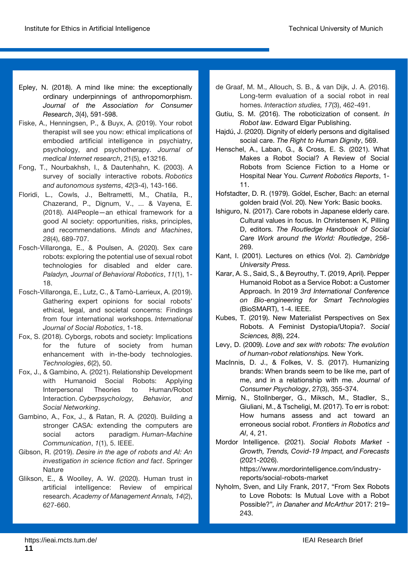- Epley, N. (2018). A mind like mine: the exceptionally ordinary underpinnings of anthropomorphism. *Journal of the Association for Consumer Research*, *3*(4), 591-598.
- Fiske, A., Henningsen, P., & Buyx, A. (2019). Your robot therapist will see you now: ethical implications of embodied artificial intelligence in psychiatry, psychology, and psychotherapy. *Journal of medical Internet research*, 21(5), e13216.
- Fong, T., Nourbakhsh, I., & Dautenhahn, K. (2003). A survey of socially interactive robots. *Robotics and autonomous systems*, *42*(3-4), 143-166.
- Floridi, L., Cowls, J., Beltrametti, M., Chatila, R., Chazerand, P., Dignum, V., ... & Vayena, E. (2018). AI4People—an ethical framework for a good AI society: opportunities, risks, principles, and recommendations. *Minds and Machines*, *28*(4), 689-707.
- Fosch-Villaronga, E., & Poulsen, A. (2020). Sex care robots: exploring the potential use of sexual robot technologies for disabled and elder care. *Paladyn, Journal of Behavioral Robotics*, *11*(1), 1- 18.
- Fosch-Villaronga, E., Lutz, C., & Tamò-Larrieux, A. (2019). Gathering expert opinions for social robots' ethical, legal, and societal concerns: Findings from four international workshops. *International Journal of Social Robotics*, 1-18.
- Fox, S. (2018). Cyborgs, robots and society: Implications for the future of society from human enhancement with in-the-body technologies. *Technologies*, *6*(2), 50.
- Fox, J., & Gambino, A. (2021). Relationship Development with Humanoid Social Robots: Applying Interpersonal Theories to Human/Robot Interaction. *Cyberpsychology, Behavior, and Social Networking*.
- Gambino, A., Fox, J., & Ratan, R. A. (2020). Building a stronger CASA: extending the computers are social actors paradigm. *Human-Machine Communication*, *1*(1), 5. IEEE.
- Gibson, R. (2019). *Desire in the age of robots and AI: An investigation in science fiction and fact*. Springer **Nature**
- Glikson, E., & Woolley, A. W. (2020). Human trust in artificial intelligence: Review of empirical research. *Academy of Management Annals, 14*(2), 627-660.
- de Graaf, M. M., Allouch, S. B., & van Dijk, J. A. (2016). Long-term evaluation of a social robot in real homes. *Interaction studies, 17*(3), 462-491.
- Gutiu, S. M. (2016). The roboticization of consent. *In Robot law*. Edward Elgar Publishing.
- Hajdú, J. (2020). Dignity of elderly persons and digitalised social care. *The Right to Human Dignity*, 569.
- Henschel, A., Laban, G., & Cross, E. S. (2021). What Makes a Robot Social? A Review of Social Robots from Science Fiction to a Home or Hospital Near You. *Current Robotics Reports*, 1- 11.
- Hofstadter, D. R. (1979). Gödel, Escher, Bach: an eternal golden braid (Vol. 20). New York: Basic books.
- Ishiguro, N. (2017). Care robots in Japanese elderly care. Cultural values in focus. In Christensen K, Pilling D, editors. *The Routledge Handbook of Social Care Work around the World: Routledge*, 256- 269.
- Kant, I. (2001). Lectures on ethics (Vol. 2). *Cambridge University Press.*
- Karar, A. S., Said, S., & Beyrouthy, T. (2019, April). Pepper Humanoid Robot as a Service Robot: a Customer Approach. In 2019 *3rd International Conference on Bio-engineering for Smart Technologies* (BioSMART), 1-4. IEEE.
- Kubes, T. (2019). New Materialist Perspectives on Sex Robots. A Feminist Dystopia/Utopia?. *Social Sciences, 8*(8), 224.
- Levy, D. (2009). *Love and sex with robots: The evolution of human-robot relationships.* New York.
- MacInnis, D. J., & Folkes, V. S. (2017). Humanizing brands: When brands seem to be like me, part of me, and in a relationship with me. *Journal of Consumer Psychology*, 27(3), 355-374.
- Mirnig, N., Stollnberger, G., Miksch, M., Stadler, S., Giuliani, M., & Tscheligi, M. (2017). To err is robot: How humans assess and act toward an erroneous social robot. *Frontiers in Robotics and AI*, 4, 21.
- Mordor Intelligence. (2021). *Social Robots Market - Growth, Trends, Covid-19 Impact, and Forecasts* (2021-2026). https://www.mordorintelligence.com/industryreports/social-robots-market
- Nyholm, Sven, and Lily Frank, 2017, "From Sex Robots to Love Robots: Is Mutual Love with a Robot Possible?"*, in Danaher and McArthur* 2017: 219– 243.